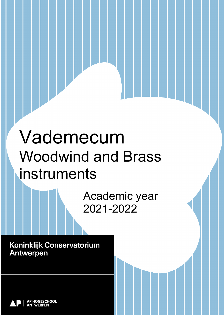# Vademecum Woodwind and Brass instruments

Academic year 2021-2022

Versie 01/09/2021 p 1 / 35

Koninklijk Conservatorium **Antwerpen** 

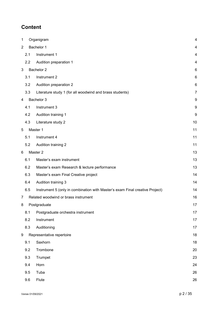# **Content**

| $\mathbf{1}$   |     | Organigram                                                                   | 4  |
|----------------|-----|------------------------------------------------------------------------------|----|
| $\overline{2}$ |     | Bachelor 1                                                                   | 4  |
|                | 2.1 | Instrument 1                                                                 | 4  |
|                | 2.2 | Audition preparation 1                                                       | 4  |
| 3              |     | Bachelor <sub>2</sub>                                                        | 6  |
|                | 3.1 | Instrument 2                                                                 | 6  |
|                | 3.2 | Audition preparation 2                                                       | 6  |
|                | 3.3 | Literature study 1 (for all woodwind and brass students)                     | 7  |
| 4              |     | Bachelor 3                                                                   | 9  |
|                | 4.1 | Instrument 3                                                                 | 9  |
|                | 4.2 | Audition training 1                                                          | 9  |
|                | 4.3 | Literature study 2                                                           | 10 |
| 5              |     | Master 1                                                                     | 11 |
|                | 5.1 | Instrument 4                                                                 | 11 |
|                | 5.2 | Audition training 2                                                          | 11 |
| 6              |     | Master 2                                                                     | 13 |
|                | 6.1 | Master's exam instrument                                                     | 13 |
|                | 6.2 | Master's exam Research & lecture performance                                 | 13 |
|                | 6.3 | Master's exam Final Creative project                                         | 14 |
|                | 6.4 | Audition training 3                                                          | 14 |
|                | 6.5 | Instrument 5 (only in combination with Master's exam Final creative Project) | 14 |
| $\overline{7}$ |     | Related woodwind or brass instrument                                         | 16 |
| 8              |     | Postgraduate                                                                 | 17 |
|                | 8.1 | Postgraduate orchestra instrument                                            | 17 |
|                | 8.2 | Instrument                                                                   | 17 |
|                | 8.3 | Auditioning                                                                  | 17 |
| 9              |     | Representative repertoire                                                    | 18 |
|                | 9.1 | Saxhorn                                                                      | 18 |
|                | 9.2 | Trombone                                                                     | 20 |
|                | 9.3 | Trumpet                                                                      | 23 |
|                | 9.4 | Horn                                                                         | 24 |
|                | 9.5 | Tuba                                                                         | 26 |
|                | 9.6 | Flute                                                                        | 26 |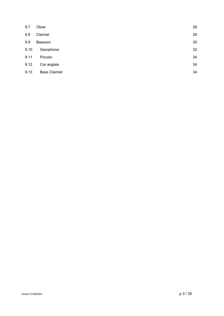<span id="page-2-0"></span>

| 9.7  | Oboe                 | 28 |
|------|----------------------|----|
| 9.8  | Clarinet             | 29 |
| 9.9  | Bassoon              | 30 |
| 9.10 | Saxophone            | 32 |
| 9.11 | Piccolo              | 34 |
| 9.12 | Cor anglais          | 34 |
| 9.13 | <b>Bass Clarinet</b> | 34 |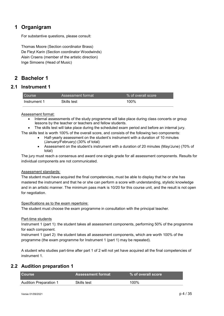# **1 Organigram**

For substantive questions, please consult:

Thomas Moore (Section coordinator Brass) De Fleyt Karin (Section coordinator Woodwinds) Alain Craens (member of the artistic direction) Inge Simoens (Head of Music)

# <span id="page-3-0"></span>**2 Bachelor 1**

# **2.1 Instrument 1**

<span id="page-3-1"></span>

| <b>Course</b> | Assessment format | Ⅰ% of overall score |
|---------------|-------------------|---------------------|
| Instrument 1  | Skills test       | 100%                |

### Assessment format:

- Internal assessments of the study programme will take place during class concerts or group lessons by the teacher or teachers and fellow students.
- The skills test will take place during the scheduled exam period and before an internal jury.

The skills test is worth 100% of the overall score, and consists of the following two components:

- Half-yearly assessment on the student's instrument with a duration of 10 minutes (January/February) (30% of total)
- Assessment on the student's instrument with a duration of 20 minutes (May/June) (70% of total)

The jury must reach a consensus and award one single grade for all assessment components. Results for individual components are not communicated.

### Assessment standards:

The student must have acquired the final competencies, must be able to display that he or she has mastered the instrument and that he or she can perform a score with understanding, stylistic knowledge and in an artistic manner. The minimum pass mark is 10/20 for this course unit, and the result is not open for negotiation.

### Specifications as to the exam repertoire:

The student must choose the exam programme in consultation with the principal teacher.

### Part-time students

Instrument 1 (part 1): the student takes all assessment components, performing 50% of the programme for each component.

Instrument 1 (part 2): the student takes all assessment components, which are worth 100% of the programme (the exam programme for Instrument 1 (part 1) may be repeated).

A student who studies part-time after part 1 of 2 will not yet have acquired all the final competencies of instrument 1.

# **2.2 Audition preparation 1**

<span id="page-3-2"></span>

| <b>Course</b>                 | <b>Assessment format</b> | $\,$ % of overall score $^{\,\prime}$ |
|-------------------------------|--------------------------|---------------------------------------|
| <b>Audition Preparation 1</b> | Skills test              | 100%                                  |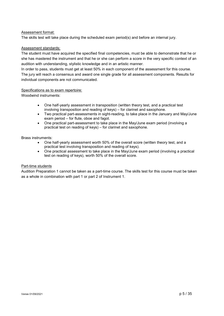### Assessment format:

The skills test will take place during the scheduled exam period(s) and before an internal jury.

### Assessment standards:

The student must have acquired the specified final competencies, must be able to demonstrate that he or she has mastered the instrument and that he or she can perform a score in the very specific context of an audition with understanding, stylistic knowledge and in an artistic manner.

In order to pass, students must get at least 50% in each component of the assessment for this course. The jury will reach a consensus and award one single grade for all assessment components. Results for individual components are not communicated.

### Specifications as to exam repertoire:

Woodwind instruments:

- One half-yearly assessment in transposition (written theory test, and a practical test involving transposition and reading of keys) – for clarinet and saxophone.
- Two practical part-assessments in sight-reading, to take place in the January and May/June exam period – for flute, oboe and fagot.
- One practical part-assessment to take place in the May/June exam period (involving a practical test on reading of keys) – for clarinet and saxophone.

### Brass instruments:

- One half-yearly assessment worth 50% of the overall score (written theory test, and a practical test involving transposition and reading of keys).
- One practical assessment to take place in the May/June exam period (involving a practical test on reading of keys), worth 50% of the overall score.

### Part-time students

Audition Preparation 1 cannot be taken as a part-time course. The skills test for this course must be taken as a whole in combination with part 1 or part 2 of Instrument 1.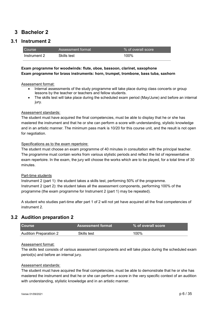# <span id="page-5-0"></span>**3 Bachelor 2**

# **3.1 Instrument 2**

<span id="page-5-1"></span>

| I Course     | Assessment format | $\%$ of overall score $\%$ |
|--------------|-------------------|----------------------------|
| Instrument 2 | Skills test       | 100%                       |

### **Exam programme for woodwinds: flute, oboe, bassoon, clarinet, saxophone Exam programme for brass instruments: horn, trumpet, trombone, bass tuba, saxhorn**

### Assessment format:

- Internal assessments of the study programme will take place during class concerts or group lessons by the teacher or teachers and fellow students.
- The skills test will take place during the scheduled exam period (May/June) and before an internal jury.

### Assessment standards:

The student must have acquired the final competencies, must be able to display that he or she has mastered the instrument and that he or she can perform a score with understanding, stylistic knowledge and in an artistic manner. The minimum pass mark is 10/20 for this course unit, and the result is not open for negotiation.

### Specifications as to the exam repertoire:

The student must choose an exam programme of 40 minutes in consultation with the principal teacher. The programme must contain works from various stylistic periods and reflect the list of representative exam repertoire. In the exam, the jury will choose the works which are to be played, for a total time of 30 minutes.

### Part-time students

Instrument 2 (part 1): the student takes a skills test, performing 50% of the programme. Instrument 2 (part 2): the student takes all the assessment components, performing 100% of the programme (the exam programme for Instrument 2 (part 1) may be repeated).

A student who studies part-time after part 1 of 2 will not yet have acquired all the final competencies of instrument 2.

### **3.2 Audition preparation 2**

<span id="page-5-2"></span>

| I Course               | Assessment format \ | $\mathsf{I}$ % of overall score $\mathsf{I}$ |
|------------------------|---------------------|----------------------------------------------|
| Audition Preparation 2 | Skills test         | 100%                                         |

### Assessment format:

The skills test consists of various assessment components and will take place during the scheduled exam period(s) and before an internal jury.

### Assessment standards:

The student must have acquired the final competencies, must be able to demonstrate that he or she has mastered the instrument and that he or she can perform a score in the very specific context of an audition with understanding, stylistic knowledge and in an artistic manner.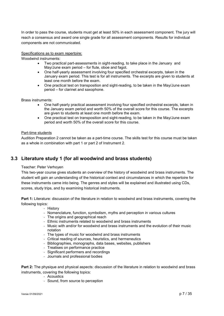In order to pass the course, students must get at least 50% in each assessment component. The jury will reach a consensus and award one single grade for all assessment components. Results for individual components are not communicated.

### Specifications as to exam repertoire:

Woodwind instruments:

- Two practical part-assessments in sight-reading, to take place in the January and May/June exam period – for flute, oboe and fagot.
- One half-yearly assessment involving four specified orchestral excerpts, taken in the January exam period. This test is for all instruments. The excerpts are given to students at least one month before the exam.
- One practical test on transposition and sight-reading, to be taken in the May/June exam period – for clarinet and saxophone.

Brass instruments:

- One half-yearly practical assessment involving four specified orchestral excerpts, taken in the January exam period and worth 50% of the overall score for this course. The excerpts are given to students at least one month before the exam.
- One practical test on transposition and sight-reading, to be taken in the May/June exam period and worth 50% of the overall score for this course.

### Part-time students

Audition Preparation 2 cannot be taken as a part-time course. The skills test for this course must be taken as a whole in combination with part 1 or part 2 of Instrument 2.

# <span id="page-6-0"></span>**3.3 Literature study 1 (for all woodwind and brass students)**

### Teacher: Peter Verhoyen

This two-year course gives students an overview of the history of woodwind and brass instruments. The student will gain an understanding of the historical context and circumstances in which the repertoire for these instruments came into being. The genres and styles will be explained and illustrated using CDs, scores, study trips, and by examining historical instruments.

**Part 1:** Literature: discussion of the literature in relation to woodwind and brass instruments, covering the following topics:

- History

- Nomenclature, function, symbolism, myths and perception in various cultures
- The origins and geographical reach
- Ethnic instruments related to woodwind and brass instruments
- Music with and/or for woodwind and brass instruments and the evolution of their music notation
- The types of music for woodwind and brass instruments
- Critical reading of sources, heuristics, and hermeneutics
- Bibliographies, monographs, data bases, websites, publishers
- Treatises on performance practice
- Significant performers and recordings
- Journals and professional bodies

**Part 2:** The physique and physical aspects: discussion of the literature in relation to woodwind and brass instruments, covering the following topics:

- Acoustics
- Sound, from source to perception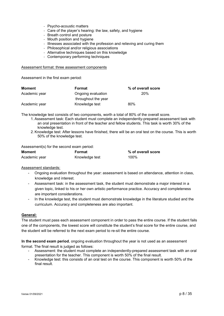- Psycho-acoustic matters
- Care of the player's hearing: the law, safety, and hygiene
- Breath control and posture
- Mouth position and hygiene
- Illnesses associated with the profession and relieving and curing them
- Philosophical and/or religious associations
- Alternative techniques based on this knowledge
- Contemporary performing techniques

#### Assessment format: three assessment components

Assessment in the first exam period:

| Moment        | Format              | % of overall score |
|---------------|---------------------|--------------------|
| Academic year | Ongoing evaluation  | 20%                |
|               | throughout the year |                    |
| Academic year | Knowledge test      | 80%                |

The knowledge test consists of two components, worth a total of 80% of the overall score.

- 1. Assessment task: Each student must complete an independently-prepared assessment task with an oral presentation in front of the teacher and fellow students. This task is worth 30% of the knowledge test.
- 2. Knowledge test: After lessons have finished, there will be an oral test on the course. This is worth 50% of the knowledge test.

### Assessment(s) for the second exam period:

| <b>Moment</b> | Format         | % of overall score |
|---------------|----------------|--------------------|
| Academic year | Knowledge test | 100%               |

### Assessment standards:

- Ongoing evaluation throughout the year: assessment is based on attendance, attention in class, knowledge and interest.
- Assessment task: in the assessment task, the student must demonstrate a major interest in a given topic, linked to his or her own artistic performance practice. Accuracy and completeness are important considerations.
- In the knowledge test, the student must demonstrate knowledge in the literature studied and the curriculum. Accuracy and completeness are also important.

### **General:**

The student must pass each assessment component in order to pass the entire course. If the student fails one of the components, the lowest score will constitute the student's final score for the entire course, and the student will be referred to the next exam period to re-sit the entire course.

**In the second exam period**, ongoing evaluation throughout the year is not used as an assessment

format. The final result is judged as follows:

- Assessment: the student must complete an independently-prepared assessment task with an oral presentation for the teacher. This component is worth 50% of the final result.
- Knowledge test: this consists of an oral test on the course. This component is worth 50% of the final result.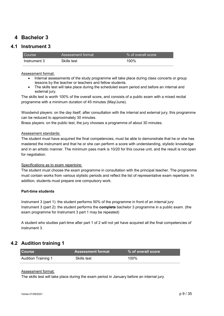# <span id="page-8-0"></span>**4 Bachelor 3**

# **4.1 Instrument 3**

<span id="page-8-1"></span>

| <b>Course</b> | Assessment format | % of overall score |
|---------------|-------------------|--------------------|
| Instrument 3  | Skills test       | 100%               |

### Assessment format:

- Internal assessments of the study programme will take place during class concerts or group lessons by the teacher or teachers and fellow students.
- The skills test will take place during the scheduled exam period and before an internal and external jury.

The skills test is worth 100% of the overall score, and consists of a public exam with a mixed recital programme with a minimum duration of 45 minutes (May/June).

Woodwind players: on the day itself, after consultation with the internal and external jury, this programme can be reduced to approximately 30 minutes.

Brass players: on the public test, the jury chooses a programme of about 30 minutes.

### Assessment standards:

The student must have acquired the final competencies, must be able to demonstrate that he or she has mastered the instrument and that he or she can perform a score with understanding, stylistic knowledge and in an artistic manner. The minimum pass mark is 10/20 for this course unit, and the result is not open for negotiation.

### Specifications as to exam repertoire:

The student must choose the exam programme in consultation with the principal teacher. The programme must contain works from various stylistic periods and reflect the list of representative exam repertoire. In addition, students must prepare one compulsory work.

### **Part-time students**

Instrument 3 (part 1): the student performs 50% of the programme in front of an internal jury Instrument 3 (part 2): the student performs the **complete** bachelor 3 programme in a public exam. (the exam programme for Instrument 3 part 1 may be repeated)

A student who studies part-time after part 1 of 2 will not yet have acquired all the final competencies of instrument 3.

# **4.2 Audition training 1**

<span id="page-8-2"></span>

| <b>Course</b>       | <b>Assessment format</b> | % of overall score |
|---------------------|--------------------------|--------------------|
| Audition Training 1 | Skills test              | 100%               |

### Assessment format:

The skills test will take place during the exam period in January before an internal jury.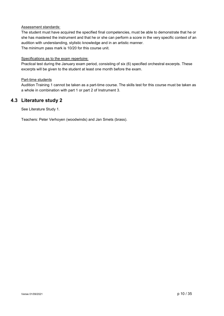### Assessment standards:

The student must have acquired the specified final competencies, must be able to demonstrate that he or she has mastered the instrument and that he or she can perform a score in the very specific context of an audition with understanding, stylistic knowledge and in an artistic manner. The minimum pass mark is 10/20 for this course unit.

### Specifications as to the exam repertoire:

Practical test during the January exam period, consisting of six (6) specified orchestral excerpts. These excerpts will be given to the student at least one month before the exam.

### Part-time students

Audition Training 1 cannot be taken as a part-time course. The skills test for this course must be taken as a whole in combination with part 1 or part 2 of Instrument 3.

### **4.3 Literature study 2**

<span id="page-9-0"></span>See Literature Study 1.

Teachers: Peter Verhoyen (woodwinds) and Jan Smets (brass).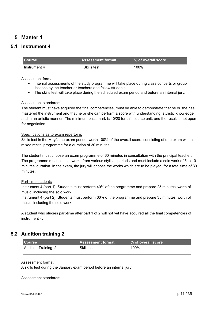# <span id="page-10-0"></span>**5 Master 1**

# <span id="page-10-1"></span>**5.1 Instrument 4**

| <b>Course</b> | Assessment format ˈ | $\mathsf{I} \mathbin{\%}$ of overall score $\mathsf{I}$ |
|---------------|---------------------|---------------------------------------------------------|
| Instrument 4  | Skills test         | 100%                                                    |

### Assessment format:

- Internal assessments of the study programme will take place during class concerts or group lessons by the teacher or teachers and fellow students.
- The skills test will take place during the scheduled exam period and before an internal jury.

### Assessment standards:

The student must have acquired the final competencies, must be able to demonstrate that he or she has mastered the instrument and that he or she can perform a score with understanding, stylistic knowledge and in an artistic manner. The minimum pass mark is 10/20 for this course unit, and the result is not open for negotiation.

### Specifications as to exam repertoire:

Skills test in the May/June exam period: worth 100% of the overall score, consisting of one exam with a mixed recital programme for a duration of 30 minutes.

The student must choose an exam programme of 60 minutes in consultation with the principal teacher. The programme must contain works from various stylistic periods and must include a solo work of 5 to 10 minutes' duration. In the exam, the jury will choose the works which are to be played, for a total time of 30 minutes.

### Part-time students

Instrument 4 (part 1): Students must perform 40% of the programme and prepare 25 minutes' worth of music, including the solo work.

Instrument 4 (part 2): Students must perform 60% of the programme and prepare 35 minutes' worth of music, including the solo work.

A student who studies part-time after part 1 of 2 will not yet have acquired all the final competencies of instrument 4.

# **5.2 Audition training 2**

<span id="page-10-2"></span>

| <b>Course</b>              | <b>Assessment format \</b> | % of overall score |
|----------------------------|----------------------------|--------------------|
| <b>Audition Training 2</b> | Skills test                | 100%               |

### Assessment format:

A skills test during the January exam period before an internal jury.

### Assessment standards: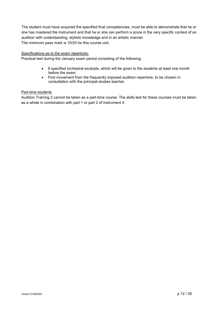The student must have acquired the specified final competencies, must be able to demonstrate that he or she has mastered the instrument and that he or she can perform a score in the very specific context of an audition with understanding, stylistic knowledge and in an artistic manner. The minimum pass mark is 10/20 for this course unit.

### Specifications as to the exam repertoire**:**

Practical test during the January exam period consisting of the following:

- 8 specified orchestral excerpts, which will be given to the students at least one month before the exam.
- First movement from the frequently imposed audition repertoire, to be chosen in consultation with the principal studies teacher.

### Part-time students

Audition Training 2 cannot be taken as a part-time course. The skills test for these courses must be taken as a whole in combination with part 1 or part 2 of Instrument 4.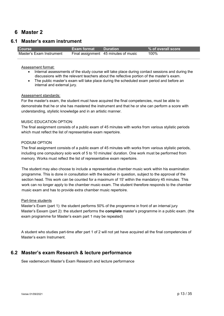# <span id="page-12-0"></span>**6 Master 2**

### **6.1 Master's exam instrument**

<span id="page-12-1"></span>

| <b>Course</b>            | <b>Exam format</b> Duration |                                      | % of overall score |
|--------------------------|-----------------------------|--------------------------------------|--------------------|
| Master's Exam Instrument |                             | Final assignment 45 minutes of music | 100%               |

### Assessment format:

- Internal assessments of the study course will take place during contact sessions and during the discussions with the relevant teachers about the reflective portion of the master's exam.
- The public master's exam will take place during the scheduled exam period and before an internal and external jury.

### Assessment standards:

For the master's exam, the student must have acquired the final competencies, must be able to demonstrate that he or she has mastered the instrument and that he or she can perform a score with understanding, stylistic knowledge and in an artistic manner.

### MUSIC EDUCATION OPTION:

The final assignment consists of a public exam of 45 minutes with works from various stylistic periods which must reflect the list of representative exam repertoire.

### PODIUM OPTION

The final assignment consists of a public exam of 45 minutes with works from various stylistic periods, including one compulsory solo work of 5 to 10 minutes' duration. One work must be performed from memory. Works must reflect the list of representative exam repertoire.

The student may also choose to include a representative chamber music work within his examination programme. This is done in consultation with the teacher in question, subject to the approval of the section head. This work can be counted for a maximum of 15' within the mandatory 45 minutes. This work can no longer apply to the chamber music exam. The student therefore responds to the chamber music exam and has to provide extra chamber music repertoire.

### Part-time students

Master's Exam (part 1): the student performs 50% of the programme in front of an internal jury Master's Eexam (part 2): the student performs the **complete** master's programme in a public exam. (the exam programme for Master's exam part 1 may be repeated)

A student who studies part-time after part 1 of 2 will not yet have acquired all the final competencies of Master's exam Instrument.

### <span id="page-12-2"></span>**6.2 Master's exam Research & lecture performance**

See vademecum Master's Exam Research and lecture performance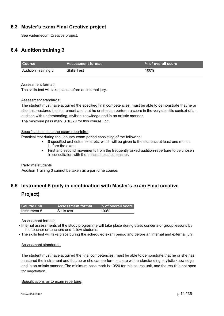# <span id="page-13-0"></span>**6.3 Master's exam Final Creative project**

See vademecum Creative project.

# <span id="page-13-1"></span>**6.4 Audition training 3**

| <b>Course</b>       | <b>Assessment format</b> | % of overall score |
|---------------------|--------------------------|--------------------|
| Audition Training 3 | <b>Skills Test</b>       | 100%               |

Assessment format:

The skills test will take place before an internal jury.

### Assessment standards:

The student must have acquired the specified final competencies, must be able to demonstrate that he or she has mastered the instrument and that he or she can perform a score in the very specific context of an audition with understanding, stylistic knowledge and in an artistic manner. The minimum pass mark is 10/20 for this course unit.

### Specifications as to the exam repertoire:

Practical test during the January exam period consisting of the following:

- 8 specified orchestral excerpts, which will be given to the students at least one month before the exam
- First and second movements from the frequently asked audition-repertoire to be chosen in consultation with the principal studies teacher.

### Part-time students

Audition Training 3 cannot be taken as a part-time course.

# <span id="page-13-2"></span>**6.5 Instrument 5 (only in combination with Master's exam Final creative Project)**

| Course unit  | <b>Assessment format</b> | % of overall score |
|--------------|--------------------------|--------------------|
| Instrument 5 | Skills test              | 100%               |

Assessment format:

- Internal assessments of the study programme will take place during class concerts or group lessons by the teacher or teachers and fellow students.
- The skills test will take place during the scheduled exam period and before an internal and external jury.

### Assessment standards:

The student must have acquired the final competencies, must be able to demonstrate that he or she has mastered the instrument and that he or she can perform a score with understanding, stylistic knowledge and in an artistic manner. The minimum pass mark is 10/20 for this course unit, and the result is not open for negotiation.

Specifications as to exam repertoire: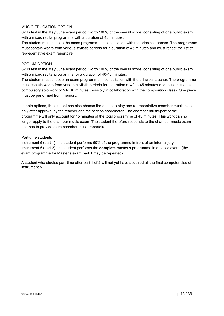### MUSIC EDUCATION OPTION

Skills test in the May/June exam period: worth 100% of the overall score, consisting of one public exam with a mixed recital programme with a duration of 45 minutes.

The student must choose the exam programme in consultation with the principal teacher. The programme must contain works from various stylistic periods for a duration of 45 minutes and must reflect the list of representative exam repertoire.

### PODIUM OPTION

Skills test in the May/June exam period: worth 100% of the overall score, consisting of one public exam with a mixed recital programme for a duration of 40-45 minutes.

The student must choose an exam programme in consultation with the principal teacher. The programme must contain works from various stylistic periods for a duration of 40 to 45 minutes and must include a compulsory solo work of 5 to 10 minutes (possibly in collaboration with the composition class). One piece must be performed from memory.

In both options, the student can also choose the option to play one representative chamber music piece only after approval by the teacher and the section coordinator. The chamber music-part of the programme will only account for 15 minutes of the total programme of 45 minutes. This work can no longer apply to the chamber music exam. The student therefore responds to the chamber music exam and has to provide extra chamber music repertoire.

### Part-time students

Instrument 5 (part 1): the student performs 50% of the programme in front of an internal jury Instrument 5 (part 2): the student performs the **complete** master's programme in a public exam. (the exam programme for Master's exam part 1 may be repeated)

A student who studies part-time after part 1 of 2 will not yet have acquired all the final competencies of instrument 5.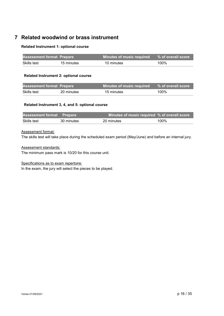# <span id="page-15-0"></span>**7 Related woodwind or brass instrument**

### **Related Instrument 1: optional course**

| <b>Assessment format Prepare</b> |            | Minutes of music required <b>\</b> | % of overall score |
|----------------------------------|------------|------------------------------------|--------------------|
| Skills test                      | 15 minutes | 10 minutes                         | 100%               |

### **Related Instrument 2: optional course**

| <b>Assessment format Prepare</b> |            | <b>Minutes of music required</b> | % of overall score |
|----------------------------------|------------|----------------------------------|--------------------|
| Skills test                      | 20 minutes | 15 minutes                       | 100%               |

### **Related Instrument 3, 4, and 5: optional course**

| <b>Assessment format Prepare</b> |            | Minutes of music required % of overall score |      |
|----------------------------------|------------|----------------------------------------------|------|
| Skills test                      | 30 minutes | 20 minutes                                   | 100% |

### Assessment format:

The skills test will take place during the scheduled exam period (May/June) and before an internal jury.

### Assessment standards:

The minimum pass mark is 10/20 for this course unit.

### Specifications as to exam repertoire:

In the exam, the jury will select the pieces to be played.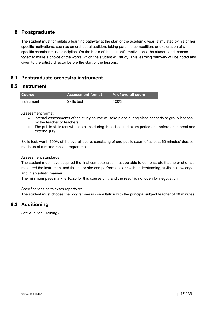# <span id="page-16-0"></span>**8 Postgraduate**

The student must formulate a learning pathway at the start of the academic year, stimulated by his or her specific motivations, such as an orchestral audition, taking part in a competition, or exploration of a specific chamber music discipline. On the basis of the student's motivations, the student and teacher together make a choice of the works which the student will study. This learning pathway will be noted and given to the artistic director before the start of the lessons.

# <span id="page-16-1"></span>**8.1 Postgraduate orchestra instrument**

# **8.2 Instrument**

<span id="page-16-2"></span>

| <b>Course</b> | <b>Assessment format</b> | % of overall score |
|---------------|--------------------------|--------------------|
| Instrument    | Skills test              | 100%               |

### Assessment format:

- Internal assessments of the study course will take place during class concerts or group lessons by the teacher or teachers.
- The public skills test will take place during the scheduled exam period and before an internal and external jury.

Skills test: worth 100% of the overall score, consisting of one public exam of at least 60 minutes' duration, made up of a mixed recital programme.

### Assessment standards:

The student must have acquired the final competencies, must be able to demonstrate that he or she has mastered the instrument and that he or she can perform a score with understanding, stylistic knowledge and in an artistic manner.

The minimum pass mark is 10/20 for this course unit, and the result is not open for negotiation.

### Specifications as to exam repertoire:

<span id="page-16-3"></span>The student must choose the programme in consultation with the principal subject teacher of 60 minutes.

# **8.3 Auditioning**

See Audition Training 3.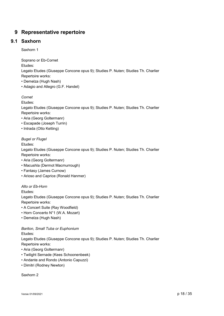# <span id="page-17-0"></span>**9 Representative repertoire**

# **9.1 Saxhorn**

<span id="page-17-1"></span>Saxhorn 1

Soprano or Eb-Cornet

Etudes:

Legato Etudes (Giuseppe Concone opus 9); Studies P. Nuten; Studies Th. Charlier Repertoire works:

- Demelza (Hugh Nash)
- Adagio and Allegro (G.F. Handel)

*Cornet*

Etudes:

Legato Etudes (Giuseppe Concone opus 9); Studies P. Nuten; Studies Th. Charlier Repertoire works:

- Aria (Georg Goltermanr)
- Escapade (Joseph Turrin)
- Intrada (Otto Ketting)

### *Bugel or Flugel*

Etudes:

Legato Etudes (Giuseppe Concone opus 9); Studies P. Nuten; Studies Th. Charlier Repertoire works:

- Aria (Georg Goltermanr)
- Macushla (Dermot Macmurrough)
- Fantasy (James Curnow)
- Arioso and Caprice (Ronald Hanmer)

*Alto or Eb-Horn*

Etudes:

Legato Etudes (Giuseppe Concone opus 9); Studies P. Nuten; Studies Th. Charlier Repertoire works:

• A Concert Suite (Ray Woodfield)

- Horn Concerto N°1 (W.A. Mozart)
- Demelza (Hugh Nash)

*Bariton, Small Tuba or Euphonium*

Etudes:

Legato Etudes (Giuseppe Concone opus 9); Studies P. Nuten; Studies Th. Charlier Repertoire works:

- Aria (Georg Goltermanr)
- Twilight Sernade (Kees Schoonenbeek)
- Andante and Rondo (Antonio Capuzzi)
- Dimitri (Rodney Newton)

Saxhorn 2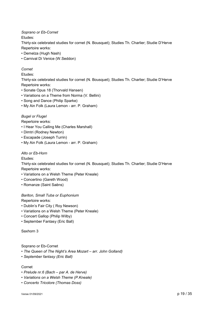*Soprano or Eb-Cornet*

Etudes:

Thirty-six celebrated studies for cornet (N. Bousquet); Studies Th. Charlier; Studie D'Herve Repertoire works:

- Demelza (Hugh Nash)
- Carnival Di Venice (W.Seddon)

### *Cornet*

Etudes:

Thirty-six celebrated studies for cornet (N. Bousquet); Studies Th. Charlier; Studie D'Herve Repertoire works:

- Sonate Opus 18 (Thorvald Hansen)
- Variations on a Theme from Norma (V. Bellini)
- Song and Dance (Philip Sparke)
- My Ain Folk (Laura Lemon arr. P. Graham)

### *Bugel or Flugel*

Repertoire works:

- I Hear You Calling Me (Charles Marshall)
- Dimtri (Rodney Newton)
- Escapade (Joseph Turrin)
- My Ain Folk (Laura Lemon arr. P. Graham)

### *Alto or Eb-Horn*

Etudes:

Thirty-six celebrated studies for cornet (N. Bousquet); Studies Th. Charlier; Studie D'Herve Repertoire works:

- Variations on a Welsh Theme (Peter Kneale)
- Concertino (Gareth Wood)
- Romanze (Saint Saëns)

### *Bariton, Small Tuba or Euphonium*

Repertoire works:

- Dublin's Fair City ( Roy Newson)
- Variations on a Welsh Theme (Peter Kneale)
- Concert Gallop (Philip Wilby)
- September Fantasy (Eric Ball)

Saxhorn 3

### Soprano or Eb-Cornet

- *The Queen of The Night's Area Mozart – arr. John Golland)*
- *September fantasy (Eric Ball)*

### Cornet

- *Prelude nr.6 (Bach – par A. de Herve)*
- *Variations on a Welsh Theme (P.Kneale)*
- *Concerto Tricolore (Thomas Doss)*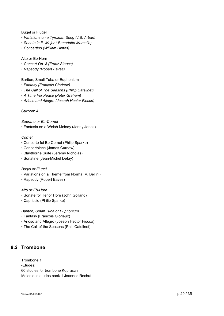### Bugel or Flugel

- *Variations on a Tyrolean Song (J.B. Arban)*
- *Sonate in F- Major ( Benedetto Marcello)*
- *Concertino (William Himes)*

### Alto or Eb-Horn

- *Concert Op. 8 (Franz Stauss)*
- *Rapsody (Robert Eaves)*

Bariton, Small Tuba or Euphonium

- *Fantasy (François Glorieux)*
- *The Call of The Seasons (Philip Catelinet)*
- *A Time For Peace (Peter Graham)*
- *Arioso and Allegro (Joseph Hector Fiocco)*

### Saxhorn 4

*Soprano or Eb-Cornet*

• Fantasia on a Welsh Melody (Jenny Jones)

### *Cornet*

- Concerto fot Bb Cornet (Philip Sparke)
- Concertpiece (James Curnow)
- Blaythorne Suite (Jeremy Nicholas)
- Sonatine (Jean-Michel Defay)

### *Bugel or Flugel*

- Variations on a Theme from Norma (V. Bellini)
- Rapsody (Robert Eaves)

### *Alto or Eb-Horn*

- Sonate for Tenor Horn (John Golland)
- Capriccio (Philip Sparke)

### *Bariton, Small Tuba or Euphonium*

- Fantasy (Francois Glorieux)
- Arioso and Allegro (Joseph Hector Fiocco)
- The Call of the Seasons (Phil. Catelinet)

# <span id="page-19-0"></span>**9.2 Trombone**

Trombone 1 -Etudes: 60 studies for trombone Koprasch Melodious etudes book 1 Joannes Rochut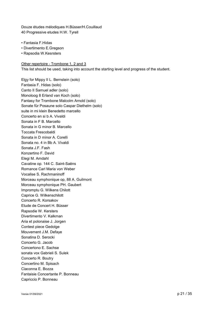Douze études mélodiques H.Büsser/H.Couillaud 40 Progressive etudes H.W. Tyrell

- Fantasia F.Hidas
- Divertimento E.Gregson
- Rapsodia W.Kesrsters

Other repertoire - Trombone 1, 2 and 3 This list should be used, taking into account the starting level and progress of the student.

Elgy for Mippy II L. Bernstein (solo) Fantasia F. Hidas (solo) Canto II Samuel adler (solo) Monoloog 8 Erland van Koch (solo) Fantasy for Trombone Malcolm Arnold (solo) Sonate für Posaune solo Caspar Diethelm (solo) suite in mi klein Benedetto marcello Concerto en si b A. Vivaldi Sonata in F B. Marcello Sonata in G minor B. Marcello Toccata Frescobaldi Sonata in D minor A. Corelli Sonata no. 4 in Bb A. Vivaldi Sonata J.F. Fash Konzertino F. David Elegi M. Amdahl Cavatine op. 144 C. Saint-Saëns Romance Carl Maria von Weber Vocalise S. Rachmaninoff Morceau symphonique op, 88 A. Guilmont Morceau symphonique PH. Gaubert Impromptu G. Wilkens Chilott Caprice G. Wilkenschilott Concerto R. Korsakov Etude de Concert H. Büsser Rapsodie W. Kersters Divertimento V. Kalkman Aria et polonaise J. Jorgen Contest piece Gedolge Mouvement J.M. Defaye Sonatina D. Serocki Concerto G. Jacob Concertono E. Sachse sonata vox Gabrieli S. Sulek Concerto R. Boutry Concertino M. Spisach Ciaconna E. Bozza Fantaisie Concertante P. Bonneau Capriccio P. Bonneau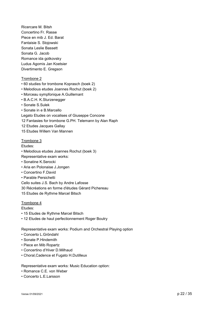Ricercare M. Bitsh Concertino Fr. Rasse Piece en mib J. Ed. Barat Fantaisie S. Stojowski Sonata Leslie Bassett Sonata G. Jacob Romance ida gotkovsky Ludus Agomis Jan Koetsier Divertimento E. Gregson

### Trombone 2

- 60 studies for trombone Koprasch (boek 2)
- Melodious etudes Joannes Rochut (boek 2)
- Morceau sympfonique A.Guillemant
- B.A.C.H. K.Sturzenegger
- Sonate S.Sulek
- Sonate in e B.Marcello
- Legato Etudes on vocalises of Giuseppe Concone
- 12 Fantasies for trombone G.PH. Telemann by Alan Raph
- 12 Etudes Jacques Gallay
- 15 Etudes Willem Van Mannen

#### Trombone 3

Etudes:

- Melodious etudes Joannes Rochut (boek 3)
- Representative exam works:
- Sonatine K.Serocki
- Aria en Polonaise J.Jongen
- Concertino F.David
- Parable Persichetti

Cello suites J.S. Bach by Andre Lafosse

- 30 Récréations en forme d'études Gérard Pichereau
- 15 Etudes de Rythme Marcel Bitsch

### Trombone 4

Etudes:

- 15 Etudes de Rythme Marcel Bitsch
- 12 Etudes de haut perfectionnement Roger Boutry

Representative exam works: Podium and Orchestral Playing option

- Concerto L.Gröndahl
- Sonate P.Hindemith
- Piece en Mib Ropartz
- Concertino d'Hiver D.Milhaud
- Choral,Cadence et Fugato H.Dutilleux

Representative exam works: Music Education option:

- Romance C.E. von Weber
- Concerto L.E.Larsson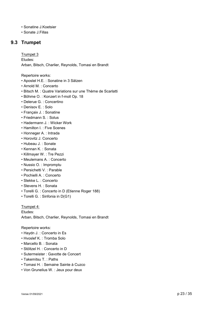- Sonatine J.Koetsier
- <span id="page-22-0"></span>• Sonate J.Fillas

# **9.3 Trumpet**

Trumpet 3 Etudes: Arban, Bitsch, Charlier, Reynolds, Tomasi en Brandt

Repertoire works:

- Apostel H.E. : Sonatine in 3 Sätzen
- Arnold M. : Concerto
- Bitsch M. : Quatre Variations sur une Thème de Scarlatti
- Böhme O. : Konzert in f-moll Op. 18
- Delerue G. : Concertino
- Denisov E. : Solo
- Françaix J. : Sonatine
- Friedmann S. : Solus
- Hadermann J. : Wicker Work
- Hamilton I. : Five Scenes
- Honneger A. : Intrada
- Horovitz J. Concerto
- Hubeau J. : Sonate
- Kennan K. : Sonata
- Killmayer W. : Tre Pezzi
- Meulemans A. : Concerto
- Nussio O. : Impromptu
- Persichetti V. : Parable
- Pochielli A. : Concerto
- Stekke L. : Concerto
- Stevens H. : Sonata
- Torelli G. : Concerto in D (Etienne Roger 188)
- Torelli G. : Sinfonia in D(G1)

Trumpet 4: Etudes: Arban, Bitsch, Charlier, Reynolds, Tomasi en Brandt

Repertoire works:

- Haydn J. : Concerto in Es
- Hvoslef K. : Tromba Solo
- Marcello B. : Sonata
- Stöltzel H. : Concerto in D
- Sutermeister : Gavotte de Concert
- Takemitsu T. : Paths
- Tomasi H. : Semaine Sainte à Cuzco
- Von Grunelius W. : Jeux pour deux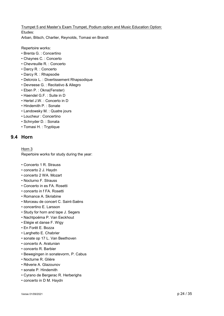Trumpet 5 and Master's Exam Trumpet, Podium option and Music Education Option: Etudes: Arban, Bitsch, Charlier, Reynolds, Tomasi en Brandt

Repertoire works:

- Brenta G. : Concertino
- Chaynes C. : Concerto
- Chevreuille R. : Concerto
- Darcy R. : Concerto
- Darcy R. : Rhapsodie
- Delcroix L. : Divertissement Rhapsodique
- Devreese G. : Recitativo & Allegro
- Eben P. : Okna(Fenster)
- Haendel G.F. : Suite in D
- Hertel J.W. : Concerto in D
- Hindemith P. : Sonate
- Landowsky M. : Quatre jours
- Loucheur : Concertino
- Schnyder D. : Sonata
- <span id="page-23-0"></span>• Tomasi H. : Tryptique

### **9.4 Horn**

### Horn 3

Repertoire works for study during the year:

- Concerto 1 R. Strauss
- concerto 2 J. Haydn
- concerto 2 WA. Mozart
- Nocturno F. Strauss
- Concerto in es FA. Rosetti
- concerto in f FA. Rosetti
- Romance A. Skriabine
- Morceau de concert C. Saint-Saëns
- concertino E. Larsson
- Study for horn and tape J. Segers
- Nachtpoëma P. Van Eeckhout
- Elégie et danse F. Wigy
- En Forêt E. Bozza
- Larghetto E. Chabrier
- sonate op 17 L. Van Beethoven
- concerto A. Aratunian
- concerto R. Barbier
- Bewegingen in sonatevorm, P. Cabus
- Nocturne R. Glière
- Rêverie A. Glazounov
- sonate P. Hindemith
- Cyrano de Bergerac R. Herberighs
- concerto in D M. Haydn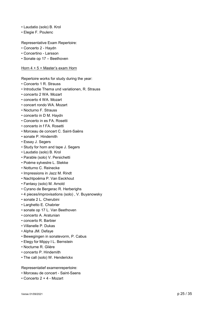- Laudatio (solo) B. Krol
- Elegie F. Poulenc

Representative Exam Repertoire:

- Concerto 2 Haydn
- Concertino Larsson
- Sonate op 17 Beethoven

Horn 4 + 5 + Master's exam Horn

- Repertoire works for study during the year:
- Concerto 1 R. Strauss
- Introductie Thema und variationen, R. Strauss
- concerto 2 WA. Mozart
- concerto 4 WA. Mozart
- concert rondo WA. Mozart
- Nocturno F. Strauss
- concerto in D M. Haydn
- Concerto in es FA. Rosetti
- concerto in f FA. Rosetti
- Morceau de concert C. Saint-Saëns
- sonate P. Hindemith
- Essay J. Segers
- Study for horn and tape J. Segers
- Laudatio (solo) B. Krol
- Parable (solo) V. Persichetti
- Poème sylvestre L. Stekke
- Notturno C. Reinecke
- Impressions in Jazz M. Rindt
- Nachtpoëma P. Van Eeckhout
- Fantasy (solo) M. Arnold
- Cyrano de Bergerac R. Herberighs
- 4 pieces/improvisations (solo) , V. Buyanowsky
- sonate 2 L. Cherubini
- Larghetto E. Chabrier
- sonate op 17 L. Van Beethoven
- concerto A. Aratunian
- concerto R. Barbier
- Villanelle P. Dukas
- Alpha JM. Defaye
- Bewegingen in sonatevorm, P. Cabus
- Elegy for Mippy I L. Bernstein
- Nocturne R. Glière
- concerto P. Hindemith
- The call (solo) W. Henderickx

Representatief examenrepertoire:

- Morceau de concert Saint-Saens
- Concerto 2 + 4 Mozart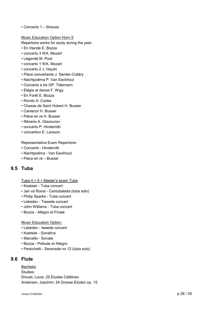• Concerto 1 – Strauss

Music Education Option Horn 5

Repertoire works for study during the year:

- En Irlande E. Bozza
- concerto 3 WA. Mozart
- Légende M. Poot
- concerto 1 WA. Mozart
- concerto 2 J. Haydn
- Pièce concertante J. Semler-Colléry
- Nachtpoëma P. Van Eeckhout
- Concerto a tre GP. Telemann
- Elégie et danse F. Wigy
- En Forêt E. Bozza
- Rondo A. Cooke
- Chasse de Saint Hubert H. Busser
- Cantecor H. Busser
- Pièce en re H. Busser
- Rêverie A. Glazounov
- concerto P. Hindemith
- concertino E. Larsson

Representative Exam Repertoire:

- Concerto Hindemith
- Nachtpoëma Van Eeckhout
- <span id="page-25-0"></span>• Pièce en ré – Busser

# **9.5 Tuba**

Tuba 4 + 5 + Master's exam Tuba

- Koetsier Tuba concert
- Jan vd Roost Cantubalada (tuba solo)
- Philip Sparke Tuba concert
- Lebedev Tweede concert
- John Williams Tuba concert
- Bozza Allegro et Finale

### Music Education Option:

- Lebedev tweede concert
- Koetsier Sonatina
- Marcello Sonate
- Bozza Prélude et Allegro
- Persichetti Serenade no 12 (tuba solo)

### **9.6 Flute**

<span id="page-25-1"></span>Bachelor Studies: Drouet, Louis: 25 Etudes Célèbres Andersen, Joachim: 24 Grosse Etüden op. 15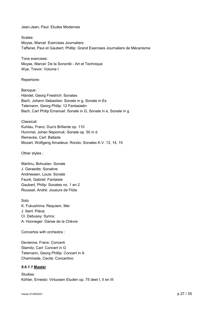Jean-Jean, Paul: Etudes Modernes

Scales: Moyse, Marcel: Exercises Journaliers Taffanel, Paul et Gaubert, Phillip: Grand Exercises Journaliers de Mécanisme

Tone exercises: Moyse, Marcel: De la Sonorité - Art et Technique Wye, Trevor: Volume I

Repertoire:

Baroque: Händel, Georg Friedrich: Sonates Bach, Johann Sebastian: Sonate in g, Sonate in Es Telemann, Georg Philip: 12 Fantasieën Bach, Carl Philip Emanuel: Sonate in G, Sonate in e, Sonate in g

Classical: Kuhlau, Franz: Duo's Brillante op. 110 Hummel, Johan Nepomuk: Sonate op. 50 in d Reinecke, Carl: Ballade Mozart, Wolfgang Amadeus: Rondo; Sonates K.V. 13, 14, 15

Other styles :

Martinu, Bohuslav: Sonate J. Geraedts: Sonatine Andriessen, Louis: Sonate Fauré, Gabriel: Fantaisie Gaubert, Philip: Sonates no. 1 en 2 Roussel, André: Joueurs de Flûte

Solo K. Fukushima: Requiem, Mei J. Ibert: Pièce; Cl. Debussy: Syrinx; A. Honneger: Danse de la Chèvre

Concertos with orchestra :

Devienne, Frans: Concerti Stamitz, Carl: Concert in G Telemann, Georg Phillip: Concert in A Chaminade, Cecile: Concertino

### *9.6.1.1* **Master**

Studies: Köhler, Ernesto: Virtuosen Etuden op. 75 deel I, II en III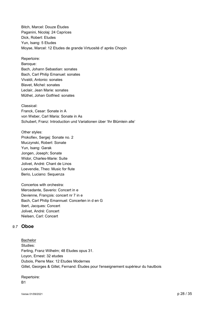Bitch, Marcel: Douze Études Paganini, Nicolaj: 24 Caprices Dick, Robert: Etudes Yun, Isang: 5 Etudes Moyse, Marcel: 12 Etudes de grande Virtuosité d' après Chopin

Repertoire: Baroque:

Bach, Johann Sebastian: sonates Bach, Carl Philip Emanuel: sonates Vivaldi, Antonio: sonates Blavet, Michel: sonates Leclair, Jean Marie: sonates Müthel, Johan Gotfried: sonates

Classical: Franck, Cesar: Sonate in A von Weber, Carl Maria: Sonate in As Schubert, Franz: Introduction und Variationen über 'Ihr Blümlein alle'

Other styles: Prokofiev, Sergej: Sonate no. 2 Muczynski, Robert: Sonate Yun, Isang: Garak Jongen, Joseph; Sonate Widor, Charles-Marie: Suite Jolivet, André: Chant de Linos Loevendie, Theo: Music for flute Berio, Luciano: Sequenza

Concertos with orchestra: Mercedante, Saverio: Concert in e Devienne, François: concert nr 7 in e Bach, Carl Philip Emannuel: Concerten in d en G Ibert, Jacques: Concert Jolivet, André: Concert Nielsen, Carl: Concert

# <span id="page-27-0"></span>*9.7* **Oboe**

Bachelor Studies: Ferling, Franz Wilhelm; 48 Etudes opus 31. Loyon, Ernest: 32 etudes Dubois, Pierre Max: 12 Etudes Modernes Gillet, Georges & Gillet, Fernand: Études pour l'enseignement supérieur du hautbois

Repertoire: B1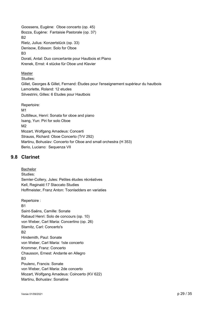Goossens, Eugène: Oboe concerto (op. 45) Bozza, Eugène: Fantaisie Pastorale (op. 37) B2 Rietz, Julius: Konzertstück (op. 33) Denisow, Edisson: Solo for Oboe B3 Dorati, Antal: Duo concertante pour Hautbois et Piano Krenek, Ernst: 4 stücke für Oboe und Klavier

Master Studies: Gillet, Georges & Gillet, Fernand: Études pour l'enseignement supérieur du hautbois Lamorlette, Roland: 12 etudes Silvestrini, Gilles: 6 Etudes pour Hautbois

Repertoire: M1 Duttilleux, Henri: Sonata for oboe and piano Isang, Yun: Piri for solo Oboe M2 Mozart, Wolfgang Amadeus: Concerti Strauss, Richard: Oboe Concerto (TrV 292) Martinu, Bohuslav: Concerto for Oboe and small orchestra (H 353) Berio, Luciano: Sequenza VII

# <span id="page-28-0"></span>**9.8 Clarinet**

Bachelor Studies: Semler-Collery, Jules: Petites études récréatives Kell, Reginald:17 Staccato Studies Hoffmeister, Franz Anton: Toonladders en variaties

Repertoire :  $B<sub>1</sub>$ Saint-Saëns, Camille: Sonate Rabaud Henri: Solo de concours (op. 10) von Weber, Carl Maria: Concertino (op. 26) Stamitz, Carl: Concerto's B2 Hindemith, Paul: Sonate von Weber, Carl Maria: 1ste concerto Krommer, Franz: Concerto Chausson, Ernest: Andante en Allegro B3 Poulenc, Francis: Sonate von Weber, Carl Maria: 2de concerto Mozart, Wolfgang Amadeus: Coincerto (KV 622) Martinu, Bohuslav: Sonatine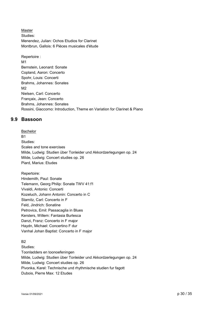Master Studies: Menendez, Julian: Ochos Etudios for Clarinet Montbrun, Gallois: 6 Pièces musicales d'étude

Repertoire : M1 Bernstein, Leonard: Sonate Copland, Aaron: Concerto Spohr, Louis: Concerti Brahms, Johannes: Sonates M2 Nielsen, Carl: Concerto Françaix, Jean: Concerto Brahms, Johannes: Sonates Rossini, Giaccomo: Introduction, Theme en Variation for Clarinet & Piano

# <span id="page-29-0"></span>**9.9 Bassoon**

Bachelor R<sub>1</sub> Studies: Scales and tone exercises Milde, Ludwig: Studien über Tonleider und Akkordzerlegungen op. 24 Milde, Ludwig: Concert studies op. 26 Piard, Marius: Etudes

Repertoire: Hindemith, Paul: Sonate Telemann, Georg Philip: Sonate TWV 41:f1 Vivaldi, Antonio: Concerti Kozeluch, Johann Antonin: Concerto in C Stamitz, Carl: Concerto in F Feld, Jindrich: Sonatine Petrovics, Emil: Passacaglia in Blues Kersters, Willem: Fantasia Burlesca Danzi, Franz: Concerto in F major Haydn, Michael: Concertino F dur Vanhal Johan Baptist: Concerto in F major

### $B<sub>2</sub>$

Studies: Toonladders en toonoefeningen Milde, Ludwig: Studien über Tonleider und Akkordzerlegungen op. 24 Milde, Ludwig: Concert studies op. 26 Pivonka, Karel: Technische und rhythmische studien fur fagott Dubois, Pierre Max: 12 Etudes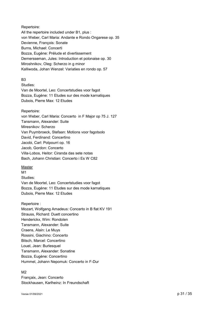Repertoire: All the repertoire included under B1, plus : von Weber, Carl Maria: Andante e Rondo Ongarese op. 35 Devienne, François: Sonate Burns, Michael: Concerti Bozza, Eugène: Prélude et divertissement Demersseman, Jules: Introduction et polonaise op. 30 Miroshnikov, Oleg: Scherzo in g minor Kalliwoda, Johan Wenzel: Variaties en rondo op. 57

### B3

Studies:

Van de Moortel, Leo: Concertstudies voor fagot Bozza, Eugène: 11 Etudes sur des mode karnatiques Dubois, Pierre Max: 12 Etudes

### Repertoire:

von Weber, Carl Maria: Concerto in F Major op 75 J. 127 Tansmann, Alexander: Suite Miresnikov: Scherzo Van Puymbroeck, Stefaan: Motions voor fagotsolo David, Ferdinand: Concertino Jacobi, Carl: Potpourri op. 16 Jacob, Gordon: Concerto Villa-Lobos, Heitor: Ciranda das sete notas Bach, Johann Christian: Concerto i Es W C82

### Master

M1 Studies: Van de Moortel, Leo: Concertstudies voor fagot Bozza, Eugène: 11 Etudes sur des mode karnatiques Dubois, Pierre Max: 12 Etudes

### Repertoire :

Mozart, Wolfgang Amadeus: Concerto in B flat KV 191 Strauss, Richard: Duett concertino Henderickx, Wim: Rondolen Tansmann, Alexander: Suite Craens, Alain: Le Muys Rossini, Giachino: Concerto Bitsch, Marcel: Concertino Louel, Jean: Burlesquel Tansmann, Alexander: Sonatine Bozza, Eugène: Concertino Hummel, Johann Nepomuk: Concerto in F-Dur

### $M<sub>2</sub>$

Françaix, Jean: Concerto Stockhausen, Karlheinz: In Freundschaft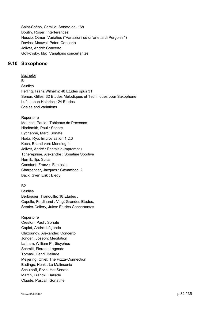Saint-Saëns, Camille: Sonate op. 168 Boutry, Roger: Interférences Nussio, Otmar: Variaties ("Variazioni su un'arietta di Pergolesi") Davies, Maxwell Peter: Concerto Jolivet, André: Concerto Gotkovsky, Ida: Variations concertantes

# **9.10 Saxophone**

<span id="page-31-0"></span>Bachelor B1 Studies Ferling, Franz Wilhelm: 48 Etudes opus 31 Senon, Gilles: 32 Etudes Mélodiques et Techniques pour Saxophone Luft, Johan Heinrich : 24 Etudes Scales and variations

### Repertoire

Maurice, Paule : Tableaux de Provence Hindemith, Paul : Sonate Eychenne, Marc: Sonate Noda, Ryo: Improvisation 1,2,3 Koch, Erland von: Monolog 4 Jolivet, André : Fantaisie-Impromptu Tcherepnine, Alexandre : Sonatine Sportive Hurnik, Ilja: Suita Constant, Franz : Fantasia Charpentier, Jacques : Gavambodi 2 Bäck, Sven Erik : Elegy

### $B<sub>2</sub>$

Studies Berbiguier, Tranquille: 18 Etudes , Capelle, Ferdinand : Vingt Grandes Etudes, Semler-Collery, Jules: Etudes Concertantes

Repertoire Creston, Paul : Sonate Caplet, Andre: Légende Glazounov, Alexander: Concerto Jongen, Joseph: Méditation Latham, William P.: Sisyphus Schmitt, Florent: Légende Tomasi, Henri: Ballade Meijering, Chiel: The Pizza-Connection Badings, Henk : La Malinconia Schulhoff, Ervin: Hot Sonate Martin, Franck : Ballade Claude, Pascal : Sonatine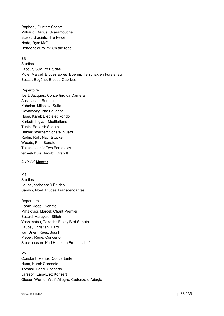Raphael, Gunter: Sonate Milhaud, Darius: Scaramouche Scelsi, Giacinto: Tre Pezzi Noda, Ryo: Maï Henderickx, Wim: On the road

### $B<sub>3</sub>$

Studies Lacour, Guy: 28 Etudes Mule, Marcel: Etudes après Boehm, Terschak en Furstenau Bozza, Eugène: Etudes-Caprices

### Repertoire

Ibert, Jacques: Concertino da Camera Absil, Jean: Sonate Kabelac, Miloslav: Suita Goykovsky, Ida: Brillance Husa, Karel: Elegie et Rondo Karkoff, Ingvar: Méditations Tubin, Eduard: Sonate Heider, Werner: Sonate in Jazz Rudin, Rolf: Nachtstücke Woods, Phil: Sonate Takacs, Jenö: Two Fantastics ter Veldhuis, Jacob: Grab It

### *9.10.1.1* **Master**

M1 Studies Lauba, christian: 9 Etudes Samyn, Noel: Etudes Transcendantes

### Repertoire

Voorn, Joop : Sonate Mihalovici, Marcel: Chant Premier Suzuki, Haruyuki: Stitch Yoshimatsu, Takashi: Fuzzy Bird Sonata Lauba, Christian: Hard van Unen, Kees: Jounk Pieper, René: Concerto Stockhausen, Karl Heinz: In Freundschaft

### $M<sub>2</sub>$

Constant, Marius: Concertante Husa, Karel: Concerto Tomasi, Henri: Concerto Larsson, Lars-Erik: Konsert Glaser, Werner Wolf: Allegro, Cadenza e Adagio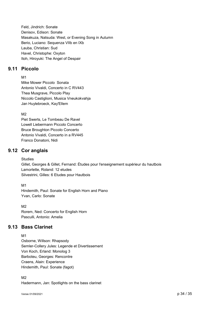Feld, Jindrich: Sonate Denisov, Edison: Sonate Masakuza, Natsuda: West, or Evening Song in Autumn Berio, Luciano: Sequenza VIIb en IXb Lauba, Christian: Sud Havel, Christophe: Oxyton Itoh, Hiroyuki: The Angel of Despair

# **9.11 Piccolo**

<span id="page-33-0"></span>M<sub>1</sub>

Mike Mower Piccolo Sonata Antonio Vivaldi, Concerto in C RV443 Thea Musgrave, Piccolo Play Niccolo Castiglioni, Musica Vneukokvahja Jan Huylebroeck, Kay'Ellem

 $M<sub>2</sub>$ 

Piet Swerts, Le Tombeau De Ravel Lowell Liebermann Piccolo Concerto Bruce Broughton Piccolo Concerto Antonio Vivaldi, Concerto in a RV445 Franco Donatoni, Nidi

# **9.12 Cor anglais**

### <span id="page-33-1"></span>**Studies**

Gillet, Georges & Gillet, Fernand: Études pour l'enseignement supérieur du hautbois Lamorlette, Roland: 12 etudes Silvestrini, Gilles: 6 Etudes pour Hautbois

M1

Hindemith, Paul: Sonate for English Horn and Piano Yvan, Carlo: Sonate

M<sub>2</sub> Rorem, Ned: Concerto for English Horn Pasculli, Antonio: Amelia

# **9.13 Bass Clarinet**

<span id="page-33-2"></span>M1

Osborne, Willson: Rhapsody Semler-Collery Jules: Legende et Divertissement Von Koch, Erland: Monolog 3 Barboteu, Georges: Rencontre Craens, Alain: Experience Hindemith, Paul: Sonate (fagot)

M2

Hadermann, Jan: Spotlights on the bass clarinet